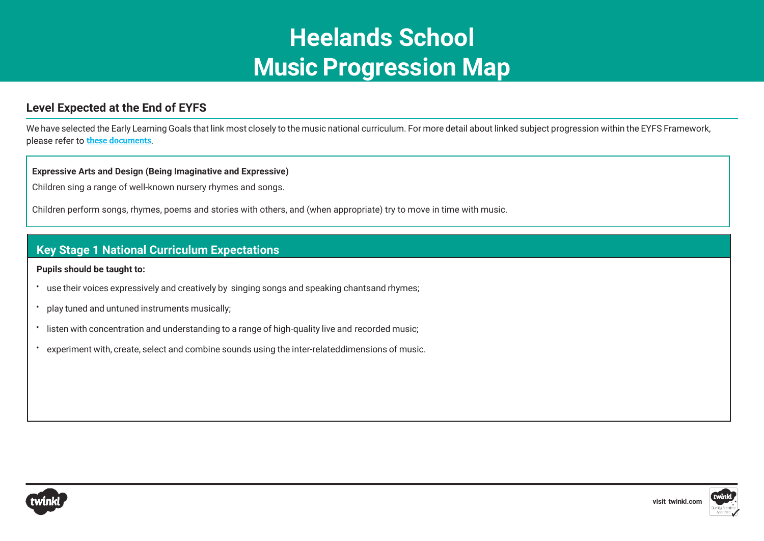# **Heelands School Music Progression Map**

# **Level Expected at the End of EYFS**

We have selected the Early Learning Goals that link most closely to the music national curriculum. For more detail about linked subject progression within the EYFS Framework, please refer to [these documents](https://www.twinkl.co.uk/resource/learning-in-eyfs-what-subject-leaders-need-to-know-resource-pack-t-tp-2548825).

### **Expressive Arts and Design (Being Imaginative and Expressive)**

Children sing a range of well-known nursery rhymes and songs.

Children perform songs, rhymes, poems and stories with others, and (when appropriate) try to move in time with music.

## **Key Stage 1 National Curriculum Expectations**

**Pupils should be taught to:**

- use their voices expressively and creatively by singing songs and speaking chantsand rhymes;
- play tuned and untuned instruments musically;
- listen with concentration and understanding to a range of high-quality live and recorded music;
- experiment with, create, select and combine sounds using the inter-relateddimensions of music.



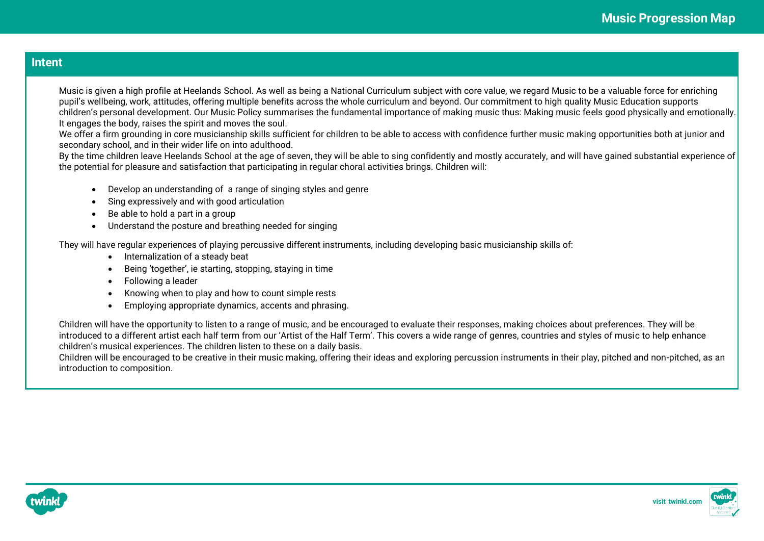## **Intent**

Music is given a high profile at Heelands School. As well as being a National Curriculum subject with core value, we regard Music to be a valuable force for enriching pupil's wellbeing, work, attitudes, offering multiple benefits across the whole curriculum and beyond. Our commitment to high quality Music Education supports children's personal development. Our Music Policy summarises the fundamental importance of making music thus: Making music feels good physically and emotionally. It engages the body, raises the spirit and moves the soul.

We offer a firm grounding in core musicianship skills sufficient for children to be able to access with confidence further music making opportunities both at junior and secondary school, and in their wider life on into adulthood.

By the time children leave Heelands School at the age of seven, they will be able to sing confidently and mostly accurately, and will have gained substantial experience of the potential for pleasure and satisfaction that participating in regular choral activities brings. Children will:

- Develop an understanding of a range of singing styles and genre
- Sing expressively and with good articulation
- Be able to hold a part in a group
- Understand the posture and breathing needed for singing

They will have regular experiences of playing percussive different instruments, including developing basic musicianship skills of:

- Internalization of a steady beat
- Being 'together', ie starting, stopping, staying in time
- Following a leader
- Knowing when to play and how to count simple rests
- Employing appropriate dynamics, accents and phrasing.

Children will have the opportunity to listen to a range of music, and be encouraged to evaluate their responses, making choices about preferences. They will be introduced to a different artist each half term from our 'Artist of the Half Term'. This covers a wide range of genres, countries and styles of music to help enhance children's musical experiences. The children listen to these on a daily basis.

Children will be encouraged to be creative in their music making, offering their ideas and exploring percussion instruments in their play, pitched and non-pitched, as an introduction to composition.



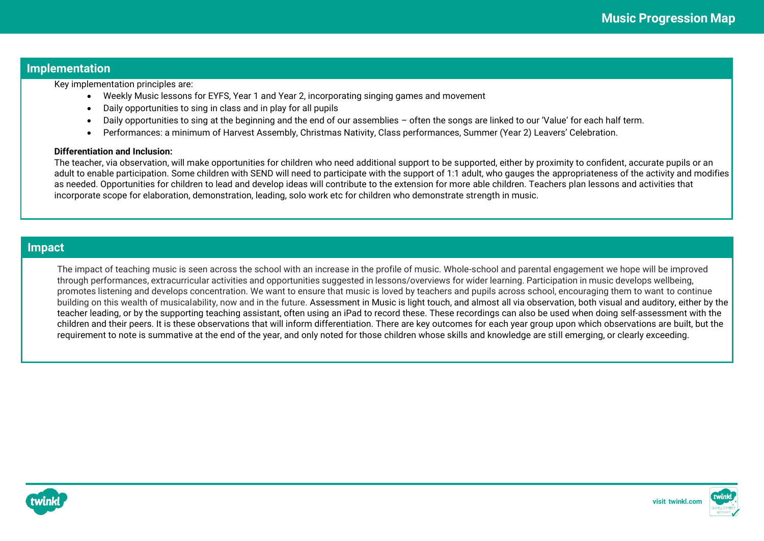## **Implementation**

Key implementation principles are:

- Weekly Music lessons for EYFS, Year 1 and Year 2, incorporating singing games and movement
- Daily opportunities to sing in class and in play for all pupils
- Daily opportunities to sing at the beginning and the end of our assemblies often the songs are linked to our 'Value' for each half term.
- Performances: a minimum of Harvest Assembly, Christmas Nativity, Class performances, Summer (Year 2) Leavers' Celebration.

#### **Differentiation and Inclusion:**

The teacher, via observation, will make opportunities for children who need additional support to be supported, either by proximity to confident, accurate pupils or an adult to enable participation. Some children with SEND will need to participate with the support of 1:1 adult, who gauges the appropriateness of the activity and modifies as needed. Opportunities for children to lead and develop ideas will contribute to the extension for more able children. Teachers plan lessons and activities that incorporate scope for elaboration, demonstration, leading, solo work etc for children who demonstrate strength in music.

## **Impact**

The impact of teaching music is seen across the school with an increase in the profile of music. Whole-school and parental engagement we hope will be improved through performances, extracurricular activities and opportunities suggested in lessons/overviews for wider learning. Participation in music develops wellbeing, promotes listening and develops concentration. We want to ensure that music is loved by teachers and pupils across school, encouraging them to want to continue building on this wealth of musicalability, now and in the future. Assessment in Music is light touch, and almost all via observation, both visual and auditory, either by the teacher leading, or by the supporting teaching assistant, often using an iPad to record these. These recordings can also be used when doing self-assessment with the children and their peers. It is these observations that will inform differentiation. There are key outcomes for each year group upon which observations are built, but the requirement to note is summative at the end of the year, and only noted for those children whose skills and knowledge are still emerging, or clearly exceeding.



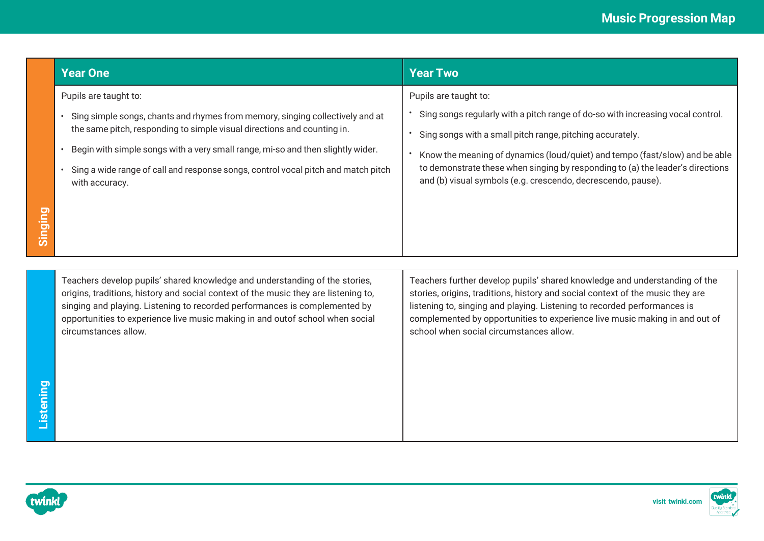|         | <b>Year One</b>                                                                                                                                                                                                                                                                                                                                           | <b>Year Two</b>                                                                                                                                                                                                                                                                                                                                                    |
|---------|-----------------------------------------------------------------------------------------------------------------------------------------------------------------------------------------------------------------------------------------------------------------------------------------------------------------------------------------------------------|--------------------------------------------------------------------------------------------------------------------------------------------------------------------------------------------------------------------------------------------------------------------------------------------------------------------------------------------------------------------|
|         | Pupils are taught to:                                                                                                                                                                                                                                                                                                                                     | Pupils are taught to:                                                                                                                                                                                                                                                                                                                                              |
|         | Sing simple songs, chants and rhymes from memory, singing collectively and at                                                                                                                                                                                                                                                                             | Sing songs regularly with a pitch range of do-so with increasing vocal control.                                                                                                                                                                                                                                                                                    |
|         | the same pitch, responding to simple visual directions and counting in.                                                                                                                                                                                                                                                                                   | Sing songs with a small pitch range, pitching accurately.                                                                                                                                                                                                                                                                                                          |
|         | Begin with simple songs with a very small range, mi-so and then slightly wider.                                                                                                                                                                                                                                                                           | Know the meaning of dynamics (loud/quiet) and tempo (fast/slow) and be able                                                                                                                                                                                                                                                                                        |
|         | Sing a wide range of call and response songs, control vocal pitch and match pitch<br>$\bullet$<br>with accuracy.                                                                                                                                                                                                                                          | to demonstrate these when singing by responding to (a) the leader's directions<br>and (b) visual symbols (e.g. crescendo, decrescendo, pause).                                                                                                                                                                                                                     |
| Singing |                                                                                                                                                                                                                                                                                                                                                           |                                                                                                                                                                                                                                                                                                                                                                    |
|         |                                                                                                                                                                                                                                                                                                                                                           |                                                                                                                                                                                                                                                                                                                                                                    |
|         | Teachers develop pupils' shared knowledge and understanding of the stories,<br>origins, traditions, history and social context of the music they are listening to,<br>singing and playing. Listening to recorded performances is complemented by<br>opportunities to experience live music making in and outof school when social<br>circumstances allow. | Teachers further develop pupils' shared knowledge and understanding of the<br>stories, origins, traditions, history and social context of the music they are<br>listening to, singing and playing. Listening to recorded performances is<br>complemented by opportunities to experience live music making in and out of<br>school when social circumstances allow. |

twinkl

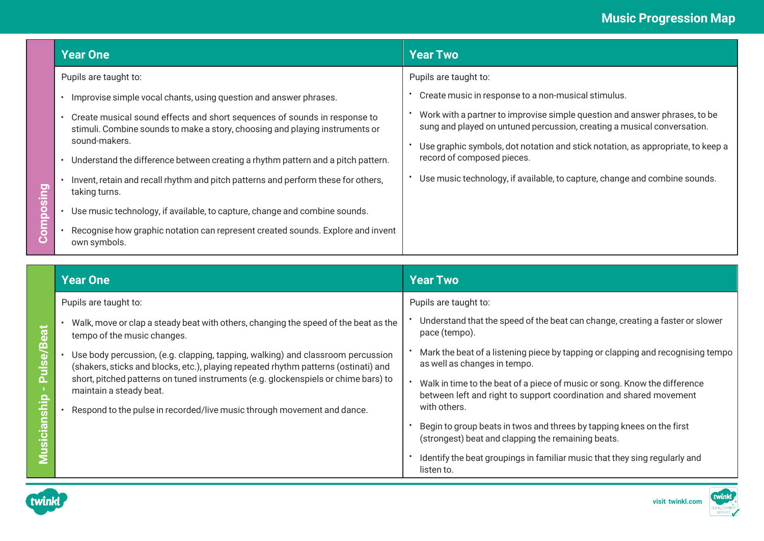|                           | <b>Year One</b>                                                                                                                                           | <b>Year Two</b>                                                                                                                                       |
|---------------------------|-----------------------------------------------------------------------------------------------------------------------------------------------------------|-------------------------------------------------------------------------------------------------------------------------------------------------------|
|                           | Pupils are taught to:                                                                                                                                     | Pupils are taught to:                                                                                                                                 |
| paiiso<br><b>DEL</b><br>Ŏ | Improvise simple vocal chants, using question and answer phrases.                                                                                         | Create music in response to a non-musical stimulus.                                                                                                   |
|                           | Create musical sound effects and short sequences of sounds in response to<br>stimuli. Combine sounds to make a story, choosing and playing instruments or | Work with a partner to improvise simple question and answer phrases, to be<br>sung and played on untuned percussion, creating a musical conversation. |
|                           | sound-makers.<br>Understand the difference between creating a rhythm pattern and a pitch pattern.                                                         | Use graphic symbols, dot notation and stick notation, as appropriate, to keep a<br>record of composed pieces.                                         |
|                           | Invent, retain and recall rhythm and pitch patterns and perform these for others,<br>taking turns.                                                        | Use music technology, if available, to capture, change and combine sounds.                                                                            |
|                           | Use music technology, if available, to capture, change and combine sounds.                                                                                |                                                                                                                                                       |
|                           | Recognise how graphic notation can represent created sounds. Explore and invent<br>own symbols.                                                           |                                                                                                                                                       |

|                              | <b>Year One</b>                                                                                                                                                        | <b>Year Two</b>                                                                                                                                 |
|------------------------------|------------------------------------------------------------------------------------------------------------------------------------------------------------------------|-------------------------------------------------------------------------------------------------------------------------------------------------|
|                              | Pupils are taught to:                                                                                                                                                  | Pupils are taught to:                                                                                                                           |
|                              | Walk, move or clap a steady beat with others, changing the speed of the beat as the<br>tempo of the music changes.                                                     | Understand that the speed of the beat can change, creating a faster or slower<br>pace (tempo).                                                  |
| <b>Pulse/Beat</b>            | Use body percussion, (e.g. clapping, tapping, walking) and classroom percussion<br>(shakers, sticks and blocks, etc.), playing repeated rhythm patterns (ostinati) and | Mark the beat of a listening piece by tapping or clapping and recognising tempo<br>as well as changes in tempo.                                 |
|                              | short, pitched patterns on tuned instruments (e.g. glockenspiels or chime bars) to<br>maintain a steady beat.                                                          | Walk in time to the beat of a piece of music or song. Know the difference<br>between left and right to support coordination and shared movement |
|                              | Respond to the pulse in recorded/live music through movement and dance.                                                                                                | with others.                                                                                                                                    |
| <u>cianship</u><br>$\bar{9}$ |                                                                                                                                                                        | Begin to group beats in twos and threes by tapping knees on the first<br>(strongest) beat and clapping the remaining beats.                     |
|                              |                                                                                                                                                                        | Identify the beat groupings in familiar music that they sing regularly and<br>listen to.                                                        |